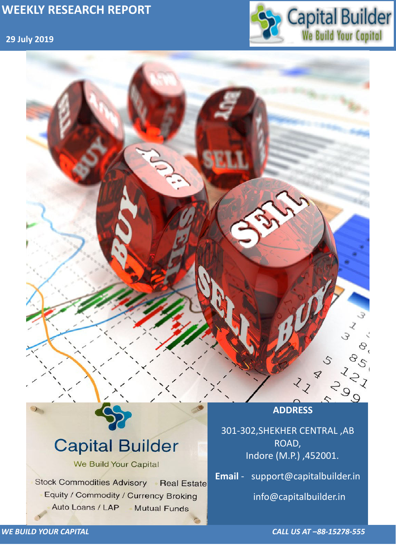## **29 July 2019**



*WE BUILD YOUR CAPITAL CALL US AT –88-15278-555*



# **Capital Builder** We Build Your Capital Stock Commodities Advisory Real Estate Equity / Commodity / Currency Broking Auto Loans / LAP **Mutual Funds**

301-302,SHEKHER CENTRAL ,AB ROAD, Indore (M.P.) ,452001.

**Email** - support@capitalbuilder.in

info@capitalbuilder.in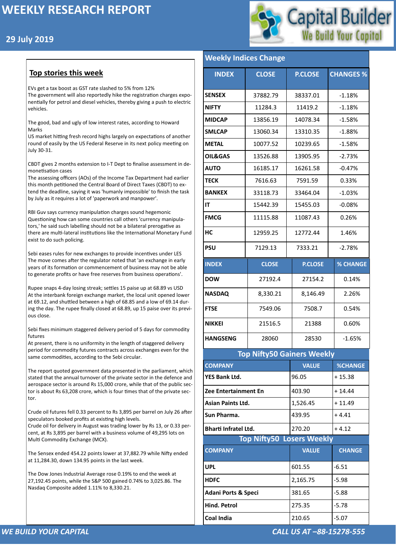## **29 July 2019**



#### *WE BUILD YOUR CAPITAL CALL US AT –88-15278-555*

### **Top stories this week**

EVs get a tax boost as GST rate slashed to 5% from 12% The government will also reportedly hike the registration charges exponentially for petrol and diesel vehicles, thereby giving a push to electric vehicles.

The good, bad and ugly of low interest rates, according to Howard Marks

US market hitting fresh record highs largely on expectations of another round of easily by the US Federal Reserve in its next policy meeting on July 30-31.

CBDT gives 2 months extension to I-T Dept to finalise assessment in demonetisation cases

The assessing officers (AOs) of the Income Tax Department had earlier this month petitioned the Central Board of Direct Taxes (CBDT) to extend the deadline, saying it was 'humanly impossible' to finish the task by July as it requires a lot of 'paperwork and manpower'.

RBI Guv says currency manipulation charges sound hegemonic Questioning how can some countries call others 'currency manipulators,' he said such labelling should not be a bilateral prerogative as there are multi-lateral institutions like the International Monetary Fund exist to do such policing.

Sebi eases rules for new exchanges to provide incentives under LES The move comes after the regulator noted that 'an exchange in early years of its formation or commencement of business may not be able to generate profits or have free reserves from business operations'.

Rupee snaps 4-day losing streak; settles 15 paise up at 68.89 vs USD At the interbank foreign exchange market, the local unit opened lower at 69.12, and shuttled between a high of 68.85 and a low of 69.14 during the day. The rupee finally closed at 68.89, up 15 paise over its previous close.

Sebi fixes minimum staggered delivery period of 5 days for commodity futures

At present, there is no uniformity in the length of staggered delivery period for commodity futures contracts across exchanges even for the same commodities, according to the Sebi circular.

The report quoted government data presented in the parliament, which stated that the annual turnover of the private sector in the defence and aerospace sector is around Rs 15,000 crore, while that of the public sector is about Rs 63,208 crore, which is four times that of the private sector.

Crude oil futures fell 0.33 percent to Rs 3,895 per barrel on July 26 after speculators booked profits at existing high levels.

Crude oil for delivery in August was trading lower by Rs 13, or 0.33 percent, at Rs 3,895 per barrel with a business volume of 49,295 lots on Multi Commodity Exchange (MCX).

The Sensex ended 454.22 points lower at 37,882.79 while Nifty ended at 11,284.30, down 134.95 points in the last week.

The Dow Jones Industrial Average rose 0.19% to end the week at 27,192.45 points, while the S&P 500 gained 0.74% to 3,025.86. The Nasdaq Composite added 1.11% to 8,330.21.

#### **Weekly Indices Change**

| <b>INDEX</b>                      | <b>CLOSE</b> | <b>P.CLOSE</b> | <b>CHANGES %</b> |  |  |  |
|-----------------------------------|--------------|----------------|------------------|--|--|--|
| <b>SENSEX</b>                     | 37882.79     | 38337.01       | $-1.18%$         |  |  |  |
| <b>NIFTY</b>                      | 11284.3      | 11419.2        | $-1.18%$         |  |  |  |
| <b>MIDCAP</b>                     | 13856.19     | 14078.34       | $-1.58%$         |  |  |  |
| <b>SMLCAP</b>                     | 13060.34     | 13310.35       | $-1.88%$         |  |  |  |
| <b>METAL</b>                      | 10077.52     | 10239.65       | $-1.58%$         |  |  |  |
| <b>OIL&amp;GAS</b>                | 13526.88     | 13905.95       | $-2.73%$         |  |  |  |
| <b>AUTO</b>                       | 16185.17     | 16261.58       | $-0.47%$         |  |  |  |
| <b>TECK</b>                       | 7616.63      | 7591.59        | 0.33%            |  |  |  |
| <b>BANKEX</b>                     | 33118.73     | 33464.04       | $-1.03%$         |  |  |  |
| IT                                | 15442.39     | 15455.03       | $-0.08%$         |  |  |  |
| <b>FMCG</b>                       | 11115.88     | 11087.43       | 0.26%            |  |  |  |
| HC                                | 12959.25     | 12772.44       | 1.46%            |  |  |  |
| <b>PSU</b>                        | 7129.13      | 7333.21        | $-2.78%$         |  |  |  |
| <b>INDEX</b>                      | <b>CLOSE</b> | <b>P.CLOSE</b> | <b>% CHANGE</b>  |  |  |  |
| <b>DOW</b>                        | 27192.4      | 27154.2        | 0.14%            |  |  |  |
| <b>NASDAQ</b>                     | 8,330.21     | 8,146.49       | 2.26%            |  |  |  |
| <b>FTSE</b>                       | 7549.06      | 7508.7         | 0.54%            |  |  |  |
| <b>NIKKEI</b>                     | 21516.5      | 21388          | 0.60%            |  |  |  |
| <b>HANGSENG</b>                   | 28060        | 28530          | $-1.65%$         |  |  |  |
| <b>Top Nifty50 Gainers Weekly</b> |              |                |                  |  |  |  |
| <b>COMPANY</b>                    |              | <b>VALUE</b>   | <b>%CHANGE</b>   |  |  |  |
| <b>YES Bank Ltd.</b>              |              | 96.05          | $+15.38$         |  |  |  |
| <b>Zee Entertainment En</b>       |              | 403.90         | $+14.44$         |  |  |  |
| <b>Asian Paints Ltd.</b>          |              | 1,526.45       | $+11.49$         |  |  |  |
|                                   |              |                |                  |  |  |  |

| <b>Bharti Infratel Ltd.</b>      | 270.20       | $+4.12$       |  |  |  |
|----------------------------------|--------------|---------------|--|--|--|
| <b>Top Nifty50 Losers Weekly</b> |              |               |  |  |  |
| <b>COMPANY</b>                   | <b>VALUE</b> | <b>CHANGE</b> |  |  |  |
| <b>UPL</b>                       | 601.55       | $-6.51$       |  |  |  |
| <b>HDFC</b>                      | 2,165.75     | $-5.98$       |  |  |  |
| <b>Adani Ports &amp; Speci</b>   | 381.65       | $-5.88$       |  |  |  |
| <b>Hind. Petrol</b>              | 275.35       | $-5.78$       |  |  |  |
| <b>Coal India</b>                | 210.65       | $-5.07$       |  |  |  |

**[Sun Pharma.](https://money.rediff.com/companies/sun-pharma/12540191)**  $\begin{array}{ccc} |439.95|+4.41 \end{array}$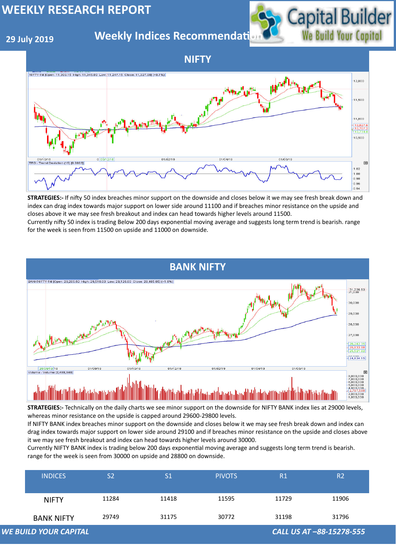## **29 July 2019**

## **Weekly Indices Recommendati**



|                                                          | <b>INDICES</b>    | S <sub>2</sub> | S <sub>1</sub> | <b>PIVOTS</b> | R1    | R2    |
|----------------------------------------------------------|-------------------|----------------|----------------|---------------|-------|-------|
|                                                          | <b>NIFTY</b>      | 11284          | 11418          | 11595         | 11729 | 11906 |
|                                                          | <b>BANK NIFTY</b> | 29749          | 31175          | 30772         | 31198 | 31796 |
| <b>WE BUILD YOUR CAPITAL</b><br>CALL US AT -88-15278-555 |                   |                |                |               |       |       |

**NIFTY**





**STRATEGIES:-** If nifty 50 index breaches minor support on the downside and closes below it we may see fresh break down and index can drag index towards major support on lower side around 11100 and if breaches minor resistance on the upside and closes above it we may see fresh breakout and index can head towards higher levels around 11500.

Currently nifty 50 index is trading Below 200 days exponential moving average and suggests long term trend is bearish. range for the week is seen from 11500 on upside and 11000 on downside.

**STRATEGIES:-** Technically on the daily charts we see minor support on the downside for NIFTY BANK index lies at 29000 levels, whereas minor resistance on the upside is capped around 29600-29800 levels.

If NIFTY BANK index breaches minor support on the downside and closes below it we may see fresh break down and index can drag index towards major support on lower side around 29100 and if breaches minor resistance on the upside and closes above it we may see fresh breakout and index can head towards higher levels around 30000. Currently NIFTY BANK index is trading below 200 days exponential moving average and suggests long term trend is bearish. range for the week is seen from 30000 on upside and 28800 on downside.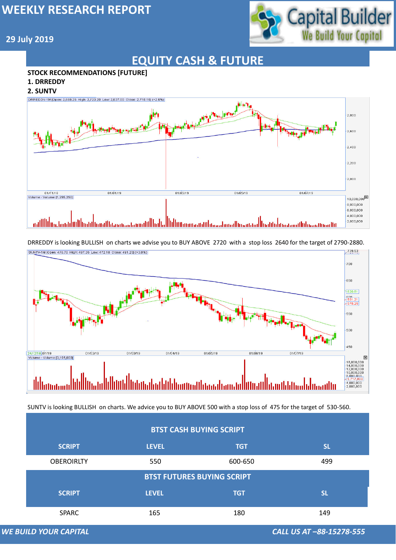

## **29 July 2019**

# **EQUITY CASH & FUTURE**

#### **STOCK RECOMMENDATIONS [FUTURE]**

- **1. DRREDDY**
- **2. SUNTV**





### **BTST CASH BUYING SCRIPT**

DRREDDY is looking BULLISH on charts we advise you to BUY ABOVE 2720 with a stop loss 2640 for the target of 2790-2880.

| <b>SCRIPT</b>         | <b>LEVEL</b> | <b>TGT</b>                        | <b>SL</b>                       |  |
|-----------------------|--------------|-----------------------------------|---------------------------------|--|
| <b>OBEROIRLTY</b>     | 550          | 600-650                           | 499                             |  |
|                       |              | <b>BTST FUTURES BUYING SCRIPT</b> |                                 |  |
| <b>SCRIPT</b>         | <b>LEVEL</b> | <b>TGT</b>                        | <b>SL</b>                       |  |
| <b>SPARC</b>          | 165          | 180                               | 149                             |  |
| WE BUILD YOUR CAPITAL |              |                                   | <b>CALL US AT -88-15278-555</b> |  |

SUNTV is looking BULLISH on charts. We advice you to BUY ABOVE 500 with a stop loss of 475 for the target of 530-560.